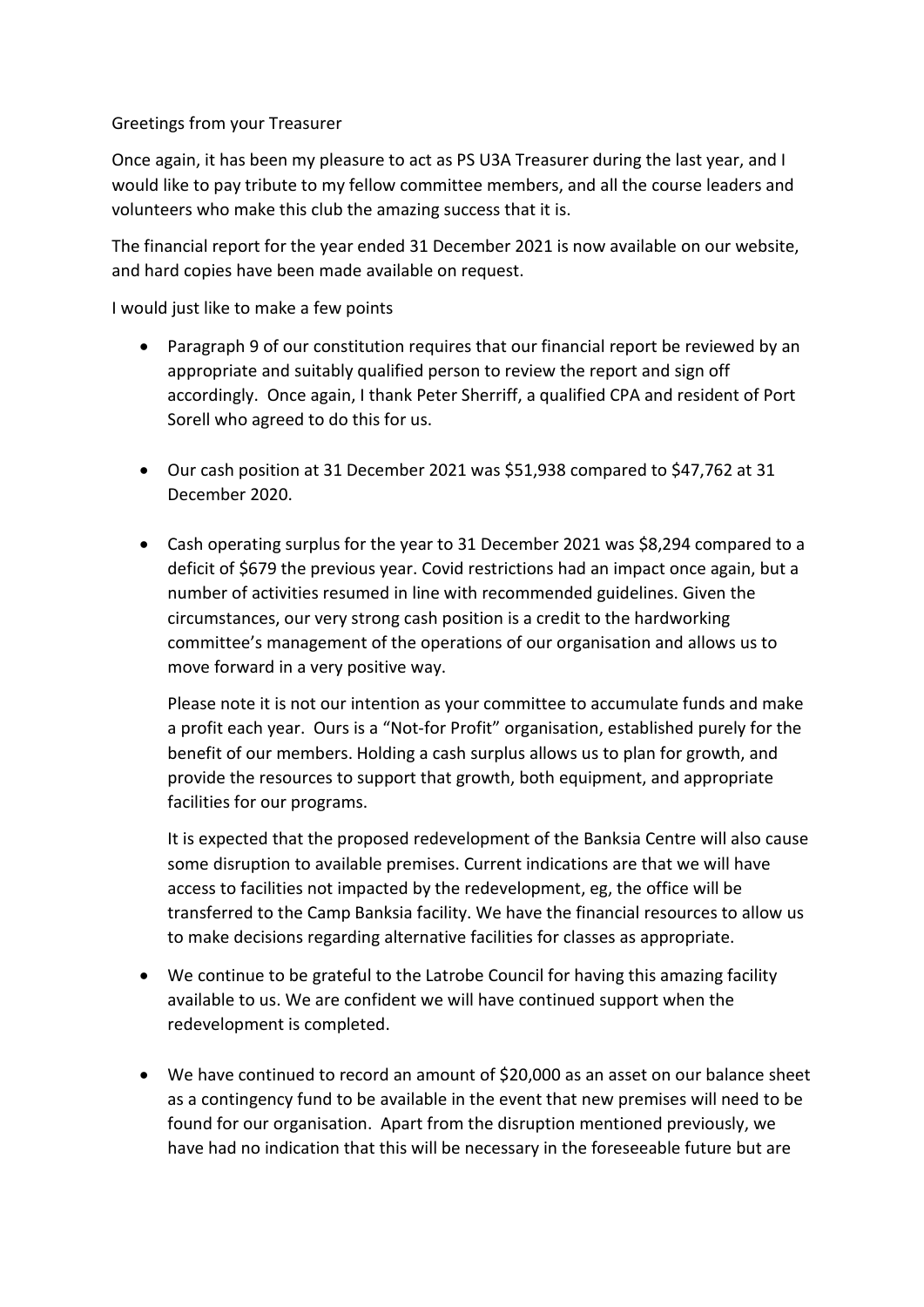## Greetings from your Treasurer

Once again, it has been my pleasure to act as PS U3A Treasurer during the last year, and I would like to pay tribute to my fellow committee members, and all the course leaders and volunteers who make this club the amazing success that it is.

The financial report for the year ended 31 December 2021 is now available on our website, and hard copies have been made available on request.

I would just like to make a few points

- Paragraph 9 of our constitution requires that our financial report be reviewed by an appropriate and suitably qualified person to review the report and sign off accordingly. Once again, I thank Peter Sherriff, a qualified CPA and resident of Port Sorell who agreed to do this for us.
- Our cash position at 31 December 2021 was \$51,938 compared to \$47,762 at 31 December 2020.
- Cash operating surplus for the year to 31 December 2021 was \$8,294 compared to a deficit of \$679 the previous year. Covid restrictions had an impact once again, but a number of activities resumed in line with recommended guidelines. Given the circumstances, our very strong cash position is a credit to the hardworking committee's management of the operations of our organisation and allows us to move forward in a very positive way.

Please note it is not our intention as your committee to accumulate funds and make a profit each year. Ours is a "Not-for Profit" organisation, established purely for the benefit of our members. Holding a cash surplus allows us to plan for growth, and provide the resources to support that growth, both equipment, and appropriate facilities for our programs.

It is expected that the proposed redevelopment of the Banksia Centre will also cause some disruption to available premises. Current indications are that we will have access to facilities not impacted by the redevelopment, eg, the office will be transferred to the Camp Banksia facility. We have the financial resources to allow us to make decisions regarding alternative facilities for classes as appropriate.

- We continue to be grateful to the Latrobe Council for having this amazing facility available to us. We are confident we will have continued support when the redevelopment is completed.
- We have continued to record an amount of \$20,000 as an asset on our balance sheet as a contingency fund to be available in the event that new premises will need to be found for our organisation. Apart from the disruption mentioned previously, we have had no indication that this will be necessary in the foreseeable future but are